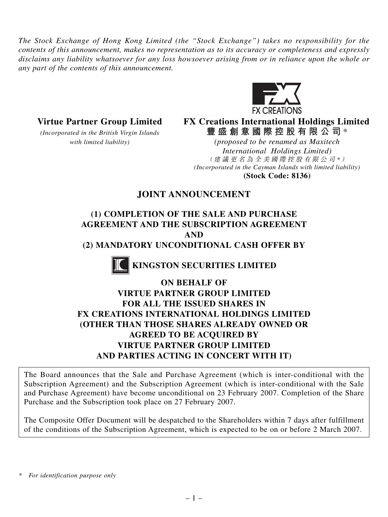*The Stock Exchange of Hong Kong Limited (the "Stock Exchange") takes no responsibility for the contents of this announcement, makes no representation as to its accuracy or completeness and expressly disclaims any liability whatsoever for any loss howsoever arising from or in reliance upon the whole or any part of the contents of this announcement.*



#### **Virtue Partner Group Limited FX Creations International Holdings Limited** *(Incorporated in the British Virgin Islands* **豐盛創意國際控股有限公司** \*

*with limited liability) (proposed to be renamed as Maxitech International Holdings Limited)* (建議更名為全美國際控股有限公司 *\** ) *(Incorporated in the Cayman Islands with limited liability)* **(Stock Code: 8136)**

## **JOINT ANNOUNCEMENT**

### **(1) COMPLETION OF THE SALE AND PURCHASE AGREEMENT AND THE SUBSCRIPTION AGREEMENT AND (2) MANDATORY UNCONDITIONAL CASH OFFER BY**

 **KINGSTON SECURITIES LIMITED**

# **ON BEHALF OF**

## **VIRTUE PARTNER GROUP LIMITED FOR ALL THE ISSUED SHARES IN FX CREATIONS INTERNATIONAL HOLDINGS LIMITED (OTHER THAN THOSE SHARES ALREADY OWNED OR AGREED TO BE ACQUIRED BY VIRTUE PARTNER GROUP LIMITED AND PARTIES ACTING IN CONCERT WITH IT)**

The Board announces that the Sale and Purchase Agreement (which is inter-conditional with the Subscription Agreement) and the Subscription Agreement (which is inter-conditional with the Sale and Purchase Agreement) have become unconditional on 23 February 2007. Completion of the Share Purchase and the Subscription took place on 27 February 2007.

The Composite Offer Document will be despatched to the Shareholders within 7 days after fulfillment of the conditions of the Subscription Agreement, which is expected to be on or before 2 March 2007.

*<sup>\*</sup> For identification purpose only*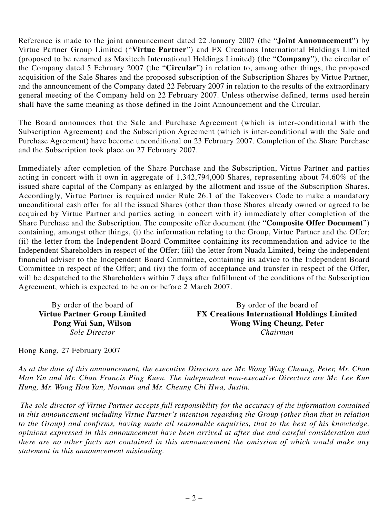Reference is made to the joint announcement dated 22 January 2007 (the "**Joint Announcement**") by Virtue Partner Group Limited ("**Virtue Partner**") and FX Creations International Holdings Limited (proposed to be renamed as Maxitech International Holdings Limited) (the "**Company**"), the circular of the Company dated 5 February 2007 (the "**Circular**") in relation to, among other things, the proposed acquisition of the Sale Shares and the proposed subscription of the Subscription Shares by Virtue Partner, and the announcement of the Company dated 22 February 2007 in relation to the results of the extraordinary general meeting of the Company held on 22 February 2007. Unless otherwise defined, terms used herein shall have the same meaning as those defined in the Joint Announcement and the Circular.

The Board announces that the Sale and Purchase Agreement (which is inter-conditional with the Subscription Agreement) and the Subscription Agreement (which is inter-conditional with the Sale and Purchase Agreement) have become unconditional on 23 February 2007. Completion of the Share Purchase and the Subscription took place on 27 February 2007.

Immediately after completion of the Share Purchase and the Subscription, Virtue Partner and parties acting in concert with it own in aggregate of 1,342,794,000 Shares, representing about 74.60% of the issued share capital of the Company as enlarged by the allotment and issue of the Subscription Shares. Accordingly, Virtue Partner is required under Rule 26.1 of the Takeovers Code to make a mandatory unconditional cash offer for all the issued Shares (other than those Shares already owned or agreed to be acquired by Virtue Partner and parties acting in concert with it) immediately after completion of the Share Purchase and the Subscription. The composite offer document (the "**Composite Offer Document**") containing, amongst other things, (i) the information relating to the Group, Virtue Partner and the Offer; (ii) the letter from the Independent Board Committee containing its recommendation and advice to the Independent Shareholders in respect of the Offer; (iii) the letter from Nuada Limited, being the independent financial adviser to the Independent Board Committee, containing its advice to the Independent Board Committee in respect of the Offer; and (iv) the form of acceptance and transfer in respect of the Offer, will be despatched to the Shareholders within 7 days after fulfillment of the conditions of the Subscription Agreement, which is expected to be on or before 2 March 2007.

By order of the board of By order of the board of **Virtue Partner Group Limited FX Creations International Holdings Limited Wong Wing Cheung, Peter** *Sole Director Chairman*

Hong Kong, 27 February 2007

*As at the date of this announcement, the executive Directors are Mr. Wong Wing Cheung, Peter, Mr. Chan Man Yin and Mr. Chan Francis Ping Kuen. The independent non-executive Directors are Mr. Lee Kun Hung, Mr. Wong Hou Yan, Norman and Mr. Cheung Chi Hwa, Justin.*

 *The sole director of Virtue Partner accepts full responsibility for the accuracy of the information contained in this announcement including Virtue Partner's intention regarding the Group (other than that in relation to the Group) and confirms, having made all reasonable enquiries, that to the best of his knowledge, opinions expressed in this announcement have been arrived at after due and careful consideration and there are no other facts not contained in this announcement the omission of which would make any statement in this announcement misleading.*